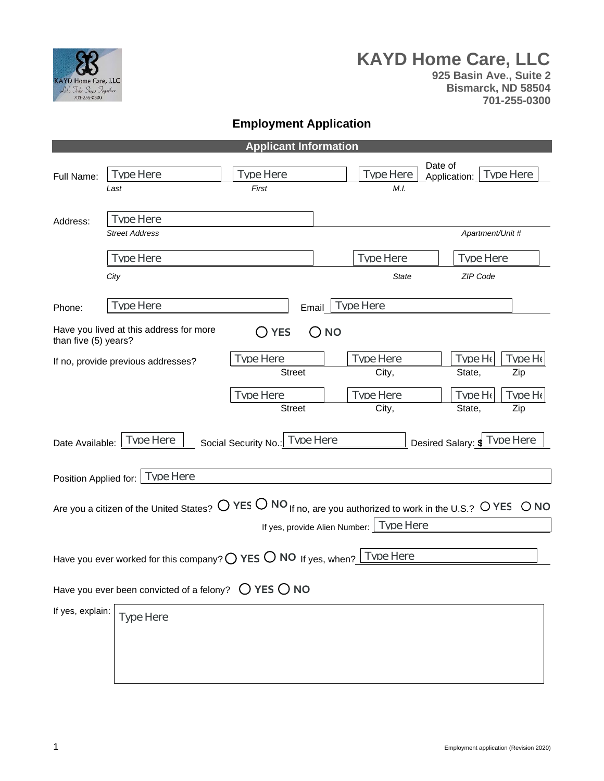

# **KAYD Home Care, LLC**

**925 Basin Ave., Suite 2 Bismarck, ND 58504 701-255-0300**

## **Employment Application**

| <b>Applicant Information</b>                                                                      |                                                                                                                                                  |                               |           |                  |                         |                  |           |
|---------------------------------------------------------------------------------------------------|--------------------------------------------------------------------------------------------------------------------------------------------------|-------------------------------|-----------|------------------|-------------------------|------------------|-----------|
| Full Name:                                                                                        | <b>Type Here</b>                                                                                                                                 | Tyne Here                     |           | Tyne Here        | Date of<br>Application: |                  | Type Here |
|                                                                                                   | Last                                                                                                                                             | First                         |           | M.I.             |                         |                  |           |
|                                                                                                   | Tyne Here                                                                                                                                        |                               |           |                  |                         |                  |           |
| Address:                                                                                          | <b>Street Address</b>                                                                                                                            |                               |           |                  |                         | Apartment/Unit # |           |
|                                                                                                   | <b>Type Here</b>                                                                                                                                 |                               |           | <b>Type Here</b> |                         | <b>Type Here</b> |           |
|                                                                                                   | City                                                                                                                                             |                               |           | <b>State</b>     |                         | ZIP Code         |           |
|                                                                                                   | Tyne Here                                                                                                                                        |                               |           | Type Here        |                         |                  |           |
| Phone:                                                                                            |                                                                                                                                                  |                               | Email     |                  |                         |                  |           |
| than five (5) years?                                                                              | Have you lived at this address for more                                                                                                          | <b>YES</b>                    | <b>NO</b> |                  |                         |                  |           |
|                                                                                                   | If no, provide previous addresses?                                                                                                               | Tyne Here                     |           | Tyne Here        |                         | Tvne He          | Tvne He   |
|                                                                                                   |                                                                                                                                                  | <b>Street</b>                 |           | City,            |                         | State,           | Zip       |
|                                                                                                   |                                                                                                                                                  | Tyne Here                     |           | Tyne Here        |                         | Tvne He          | Tyne He   |
|                                                                                                   |                                                                                                                                                  | <b>Street</b>                 |           | City,            |                         | State,           | Zip       |
| Desired Salary: \$ Type Here<br>Type Here<br>Tyne Here<br>Social Security No.:<br>Date Available: |                                                                                                                                                  |                               |           |                  |                         |                  |           |
| <b>Type Here</b><br>Position Applied for:                                                         |                                                                                                                                                  |                               |           |                  |                         |                  |           |
|                                                                                                   | Are you a citizen of the United States? $\bigcirc$ YES $\bigcirc$ NO If no, are you authorized to work in the U.S.? $\bigcirc$ YES $\bigcirc$ NO | If yes, provide Alien Number: |           | <b>Type Here</b> |                         |                  |           |
|                                                                                                   | Have you ever worked for this company? $\bigcirc$ YES $\bigcirc$ NO If yes, when?                                                                |                               |           | <b>Type Here</b> |                         |                  |           |
|                                                                                                   | Have you ever been convicted of a felony? $\bigcirc$ YES $\bigcirc$ NO                                                                           |                               |           |                  |                         |                  |           |
| If yes, explain:                                                                                  |                                                                                                                                                  |                               |           |                  |                         |                  |           |
|                                                                                                   | Type Here                                                                                                                                        |                               |           |                  |                         |                  |           |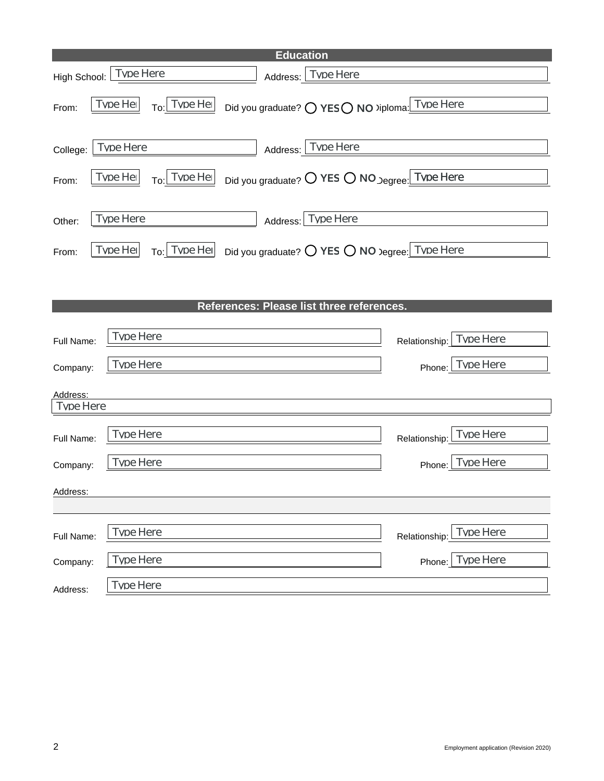|                       | <b>Education</b>                                                               |                                   |
|-----------------------|--------------------------------------------------------------------------------|-----------------------------------|
|                       | High School: Tvpe Here<br>Address: Tvpe Here                                   |                                   |
| From:                 | Tvpe Her<br>Tvpe Her<br>Did you graduate? O YESO NO >iploma: Tvpe Here<br>To:l |                                   |
| College:              | Tvne Here<br>Tyne Here<br>Address:                                             |                                   |
| From:                 | Tyne Her<br>Did you graduate? O YES O NO Degree. Type Here<br>Tyne Her<br>To:  |                                   |
| Other:                | <b>Tvpe Here</b><br><b>Type Here</b><br>Address:                               |                                   |
| From:                 | Tvpe Her<br>Tvpe Her<br>Did you graduate? O YES O NO Degree: TVDe Here<br>To:  |                                   |
|                       |                                                                                |                                   |
|                       | References: Please list three references.                                      |                                   |
| Full Name:            | Tyne Here                                                                      | Tvpe Here<br>Relationship:        |
| Company:              | <b>Type Here</b>                                                               | <b>Tvpe Here</b><br>Phone:        |
| Address:<br>Tyne Here |                                                                                |                                   |
| Full Name:            | <b>Type Here</b>                                                               | <b>Type Here</b><br>Relationship: |
| Company:              | Tyne Here                                                                      | Tyne Here<br>Phone:               |
| Address:              |                                                                                |                                   |
| Full Name:            | Tyne Here                                                                      | Tyne Here<br>Relationship:        |
| Company:              | <b>Tvpe Here</b>                                                               | <b>Tvpe Here</b><br>Phone:        |
| Address:              | <b>Tvpe Here</b>                                                               |                                   |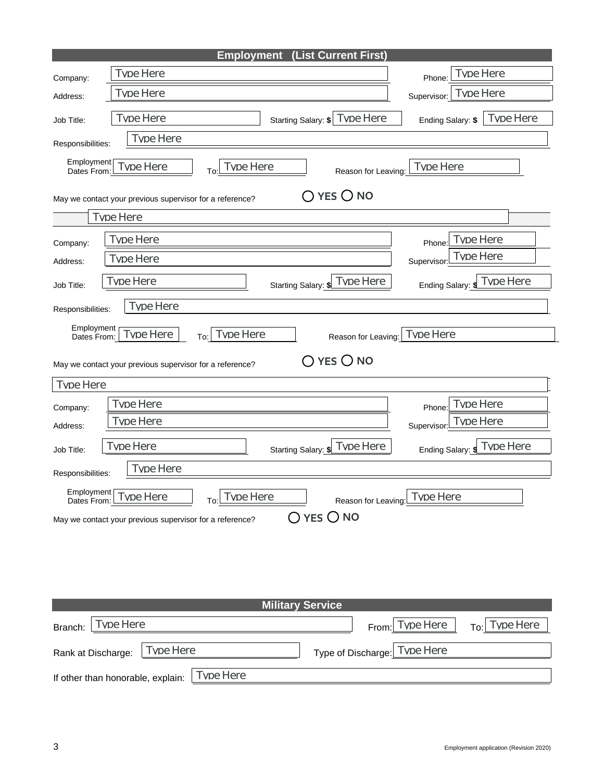|                                                           | (List Current First)<br><b>Employment</b>                                                                                          |                                                             |  |  |
|-----------------------------------------------------------|------------------------------------------------------------------------------------------------------------------------------------|-------------------------------------------------------------|--|--|
| Company:                                                  | <b>Type Here</b>                                                                                                                   | <b>Tvpe Here</b><br>Phone:                                  |  |  |
| Address:                                                  | Tvne Here                                                                                                                          | Tyne Here<br>Supervisor:                                    |  |  |
| Job Title:                                                | Tyne Here<br>Starting Salary: \$ Tvne Here                                                                                         | Type Here<br>Ending Salary: \$                              |  |  |
| Responsibilities:                                         | <b>Type Here</b>                                                                                                                   |                                                             |  |  |
| Employment<br>Dates From:                                 | Tvne Here<br>Tyne Here<br>Reason for Leaving:<br>To:                                                                               | Type Here                                                   |  |  |
|                                                           | $\bigcap$ yes $\bigcirc$ no<br>May we contact your previous supervisor for a reference?                                            |                                                             |  |  |
|                                                           | Tyne Here                                                                                                                          |                                                             |  |  |
| Company:                                                  | <b>Type Here</b>                                                                                                                   | <b>Type Here</b><br>Phone:                                  |  |  |
| Address:                                                  | <b>Type Here</b>                                                                                                                   | Tyne Here<br>Supervisor:                                    |  |  |
| Job Title:                                                | Tyne Here<br>Type Here<br>Starting Salary: \$                                                                                      | Ending Salary: JUDE Here                                    |  |  |
| Responsibilities:                                         | Tyne Here                                                                                                                          |                                                             |  |  |
| Employment<br>Dates From:<br><b>Tvpe Here</b><br>Company: | <b>Type Here</b><br>Tvpe Here<br>To:<br>$YES$ O NO<br>May we contact your previous supervisor for a reference?<br><b>Type Here</b> | Reason for Leaving: Tvpe Here<br><b>Type Here</b><br>Phone: |  |  |
| Address:                                                  | Tvne Here                                                                                                                          | Tyne Here<br>Supervisor                                     |  |  |
| Job Title:                                                | Tyne Here<br>Type Here<br>Starting Salary: \$                                                                                      | Type Here<br>Ending Salary: \$                              |  |  |
| <b>Type Here</b><br>Responsibilities:                     |                                                                                                                                    |                                                             |  |  |
| Employment<br>Dates From                                  | Tyne Here<br>Tyne Here<br>Reason for Leaving<br>To:<br>O YES O NO<br>May we contact your previous supervisor for a reference?      | Tyne Here                                                   |  |  |
| <b>Military Service</b>                                   |                                                                                                                                    |                                                             |  |  |
| Branch:                                                   | <b>Tvpe Here</b><br>From:                                                                                                          | Tvpe Here<br><b>Tvpe Here</b><br>To:                        |  |  |
| Rank at Discharge:                                        | <b>Type Here</b><br>Type of Discharge:                                                                                             | <b>Type Here</b>                                            |  |  |
|                                                           | <b>Tvpe Here</b><br>If other than honorable, explain:                                                                              |                                                             |  |  |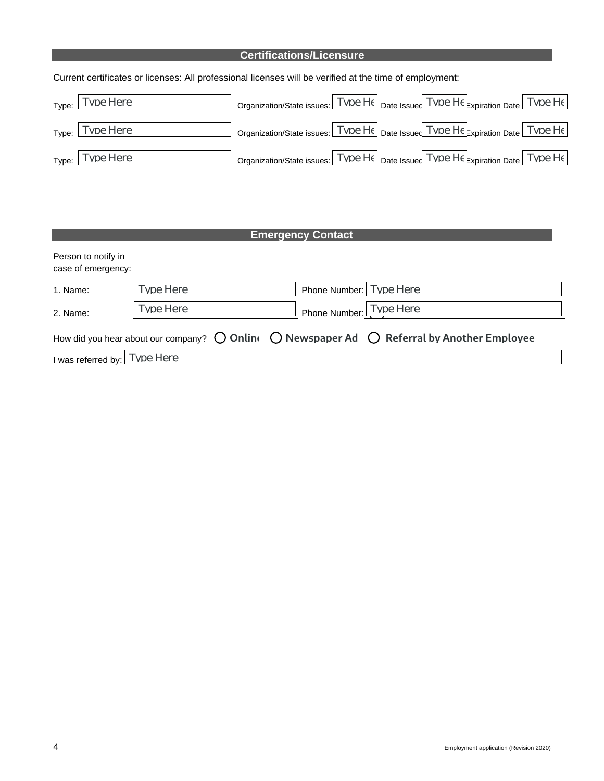### **Certifications/Licensure**

Current certificates or licenses: All professional licenses will be verified at the time of employment:

| Type: Tvpe Here             | Organization/State issues: TVDe He Date Issued TVDe He Expiration Date TVDe He |
|-----------------------------|--------------------------------------------------------------------------------|
| $Type:$ Type:               | Organization/State issues: TVDe He Date Issued TVDe He Expiration Date TVDe He |
| $_{\text{Type:}}$ Tvpe Here | Organization/State issues: TVDe He Date Issued TVDe He Expiration Date TVDe He |

## **Emergency Contact**

| Person to notify in<br>case of emergency: |           |                         |                                                                                                                       |
|-------------------------------------------|-----------|-------------------------|-----------------------------------------------------------------------------------------------------------------------|
| 1. Name:                                  | Type Here | Phone Number: Tvne Here |                                                                                                                       |
| 2. Name:                                  | Type Here | Phone Number: Tvpe Here |                                                                                                                       |
|                                           |           |                         | How did you hear about our company? $\bigcirc$ Online $\bigcirc$ Newspaper Ad $\bigcirc$ Referral by Another Employee |
| I was referred by: Tvpe Here              |           |                         |                                                                                                                       |